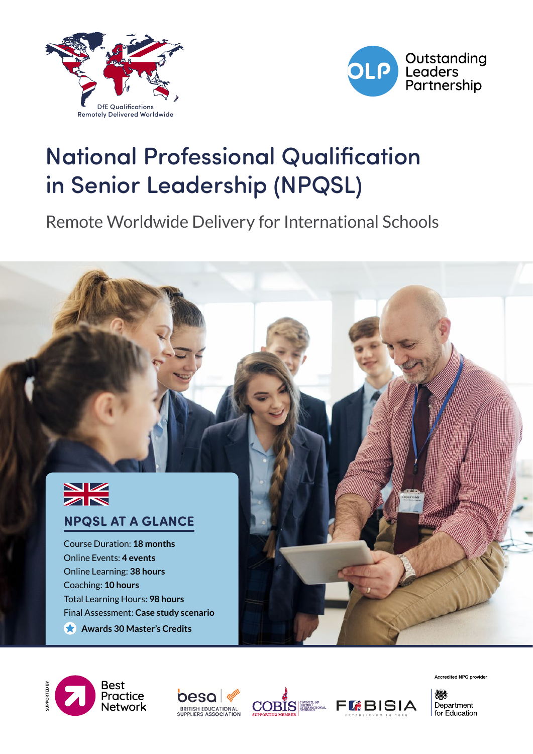



# National Professional Qualification in Senior Leadership (NPQSL)

Remote Worldwide Delivery for International Schools











Accredited NPQ provider

燃 Department for Education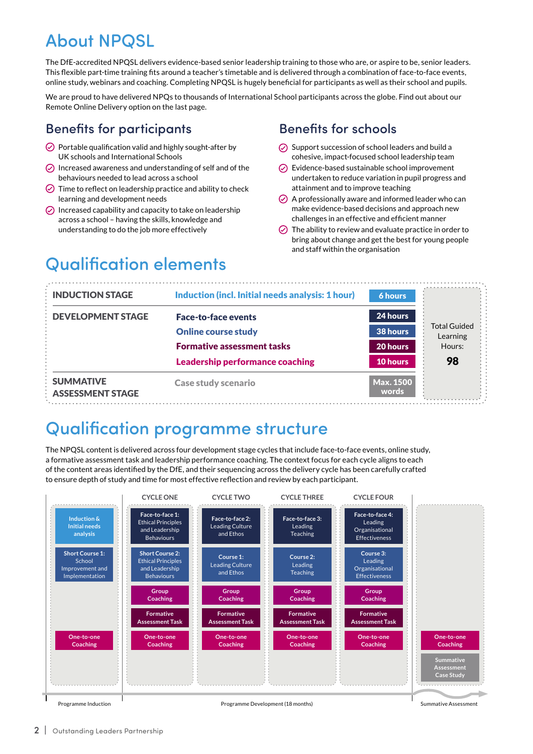## About NPQSL

The DfE-accredited NPQSL delivers evidence-based senior leadership training to those who are, or aspire to be, senior leaders. This flexible part-time training fits around a teacher's timetable and is delivered through a combination of face-to-face events, online study, webinars and coaching. Completing NPQSL is hugely beneficial for participants as well as their school and pupils.

We are proud to have delivered NPQs to thousands of International School participants across the globe. Find out about our Remote Online Delivery option on the last page.

### Benefits for participants

- $\odot$  Portable qualification valid and highly sought-after by UK schools and International Schools
- $\oslash$  Increased awareness and understanding of self and of the behaviours needed to lead across a school
- $\odot$  Time to reflect on leadership practice and ability to check learning and development needs
- $\odot$  Increased capability and capacity to take on leadership across a school – having the skills, knowledge and understanding to do the job more effectively

### Benefits for schools

- $\odot$  Support succession of school leaders and build a cohesive, impact-focused school leadership team
- $\odot$  Evidence-based sustainable school improvement undertaken to reduce variation in pupil progress and attainment and to improve teaching
- $\oslash$  A professionally aware and informed leader who can make evidence-based decisions and approach new challenges in an effective and efficient manner
- $\odot$  The ability to review and evaluate practice in order to bring about change and get the best for young people and staff within the organisation

## Qualification elements

| <b>INDUCTION STAGE</b>                      | Induction (incl. Initial needs analysis: 1 hour) | 6 hours                   |                                 |
|---------------------------------------------|--------------------------------------------------|---------------------------|---------------------------------|
| <b>DEVELOPMENT STAGE</b>                    | <b>Face-to-face events</b>                       | 24 hours                  |                                 |
|                                             | <b>Online course study</b>                       | 38 hours                  | <b>Total Guided</b><br>Learning |
|                                             | <b>Formative assessment tasks</b>                | 20 hours                  | Hours:                          |
|                                             | <b>Leadership performance coaching</b>           | 10 hours                  | 98                              |
| <b>SUMMATIVE</b><br><b>ASSESSMENT STAGE</b> | <b>Case study scenario</b>                       | <b>Max. 1500</b><br>words |                                 |

### Qualification programme structure

The NPQSL content is delivered across four development stage cycles that include face-to-face events, online study, a formative assessment task and leadership performance coaching. The context focus for each cycle aligns to each of the content areas identified by the DfE, and their sequencing across the delivery cycle has been carefully crafted to ensure depth of study and time for most effective reflection and review by each participant.

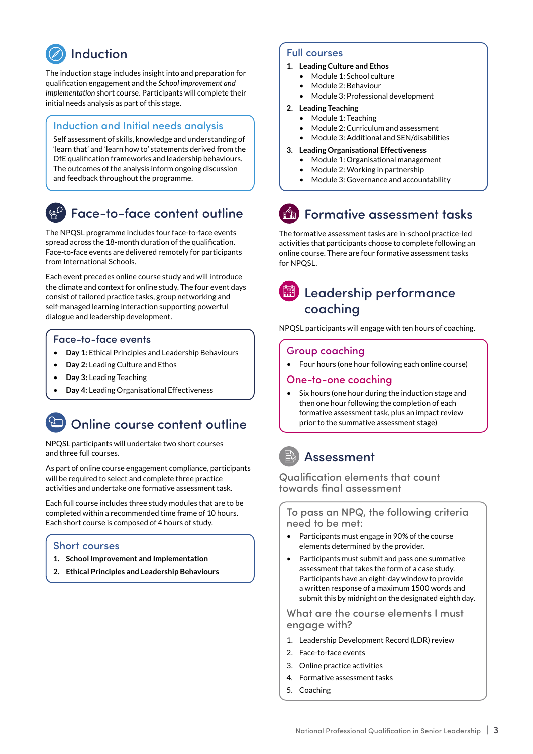## Induction

The induction stage includes insight into and preparation for qualification engagement and the *School improvement and implementation* short course. Participants will complete their initial needs analysis as part of this stage.

#### Induction and Initial needs analysis

Self assessment of skills, knowledge and understanding of 'learn that' and 'learn how to' statements derived from the DfE qualification frameworks and leadership behaviours. The outcomes of the analysis inform ongoing discussion and feedback throughout the programme.

### Face-to-face content outline

The NPQSL programme includes four face-to-face events spread across the 18-month duration of the qualification. Face-to-face events are delivered remotely for participants from International Schools.

Each event precedes online course study and will introduce the climate and context for online study. The four event days consist of tailored practice tasks, group networking and self-managed learning interaction supporting powerful dialogue and leadership development.

#### Face-to-face events

- **Day 1:** Ethical Principles and Leadership Behaviours
- **Day 2:** Leading Culture and Ethos
- **Day 3:** Leading Teaching
- **Day 4:** Leading Organisational Effectiveness

### Online course content outline

NPQSL participants will undertake two short courses and three full courses.

As part of online course engagement compliance, participants will be required to select and complete three practice activities and undertake one formative assessment task.

Each full course includes three study modules that are to be completed within a recommended time frame of 10 hours. Each short course is composed of 4 hours of study.

#### Short courses

- **1. School Improvement and Implementation**
- **2. Ethical Principles and Leadership Behaviours**

#### Full courses

- **1. Leading Culture and Ethos**
	- Module 1: School culture
	- Module 2: Behaviour
	- Module 3: Professional development

#### **2. Leading Teaching**

- Module 1: Teaching
- Module 2: Curriculum and assessment
- Module 3: Additional and SEN/disabilities

#### **3. Leading Organisational Effectiveness**

- Module 1: Organisational management
- Module 2: Working in partnership
- Module 3: Governance and accountability

## Formative assessment tasks

The formative assessment tasks are in-school practice-led activities that participants choose to complete following an online course. There are four formative assessment tasks for NPQSL.

### Leadership performance coaching

NPQSL participants will engage with ten hours of coaching.

#### Group coaching

• Four hours (one hour following each online course)

#### One-to-one coaching

• Six hours (one hour during the induction stage and then one hour following the completion of each formative assessment task, plus an impact review prior to the summative assessment stage)

### Assessment

Qualification elements that count towards final assessment

To pass an NPQ, the following criteria need to be met:

- Participants must engage in 90% of the course elements determined by the provider.
- Participants must submit and pass one summative assessment that takes the form of a case study. Participants have an eight-day window to provide a written response of a maximum 1500 words and submit this by midnight on the designated eighth day.

What are the course elements I must engage with?

- 1. Leadership Development Record (LDR) review
- 2. Face-to-face events
- 3. Online practice activities
- 4. Formative assessment tasks
- 5. Coaching